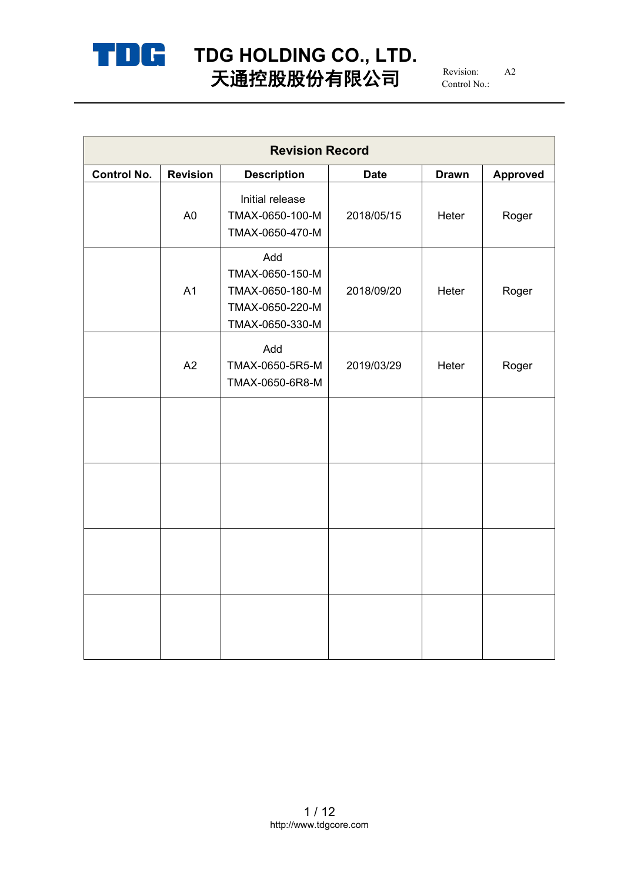

# **TDG HOLDING CO., LTD.** 天通控股股份有限公司  $^{\scriptscriptstyle\rm {Revision:}}$   $^{\scriptscriptstyle\rm {A2}}$

Revision: A2 Control No.:

| <b>Revision Record</b> |                 |                                                                                 |             |              |                 |  |  |
|------------------------|-----------------|---------------------------------------------------------------------------------|-------------|--------------|-----------------|--|--|
| <b>Control No.</b>     | <b>Revision</b> | <b>Description</b>                                                              | <b>Date</b> | <b>Drawn</b> | <b>Approved</b> |  |  |
|                        | A <sub>0</sub>  | Initial release<br>TMAX-0650-100-M<br>TMAX-0650-470-M                           | 2018/05/15  | Heter        | Roger           |  |  |
|                        | A1              | Add<br>TMAX-0650-150-M<br>TMAX-0650-180-M<br>TMAX-0650-220-M<br>TMAX-0650-330-M | 2018/09/20  | Heter        | Roger           |  |  |
|                        | A2              | Add<br>TMAX-0650-5R5-M<br>TMAX-0650-6R8-M                                       | 2019/03/29  | Heter        | Roger           |  |  |
|                        |                 |                                                                                 |             |              |                 |  |  |
|                        |                 |                                                                                 |             |              |                 |  |  |
|                        |                 |                                                                                 |             |              |                 |  |  |
|                        |                 |                                                                                 |             |              |                 |  |  |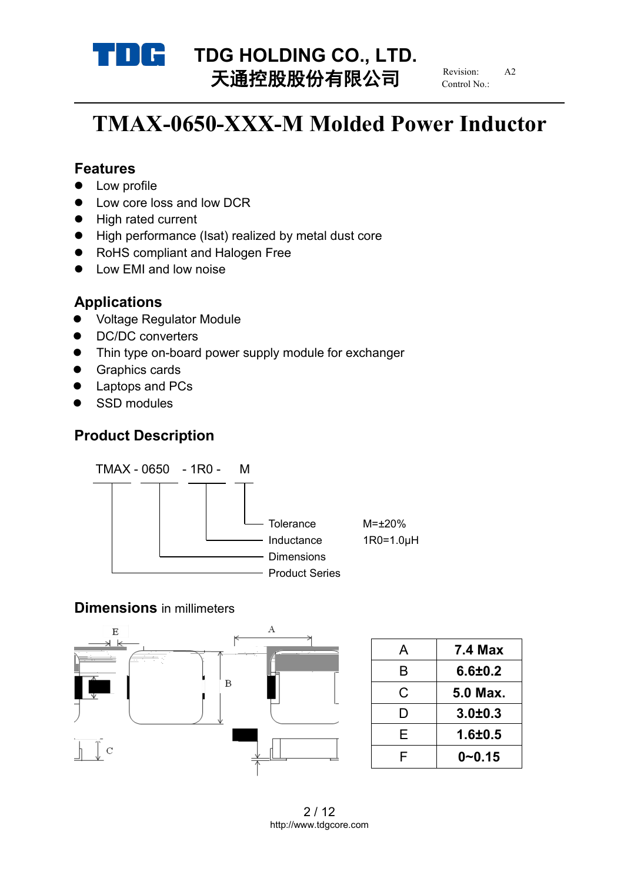

# **TDG HOLDING CO., LTD.**<br>
TX<del>HO</del>LDING **CO., LTD.** 天通控股股份有限公司

Revision: Control No.:

# **TMAX-0650-XXX-M Molded Power Inductor**

### **Features**

- Low profile
- Low core loss and low DCR
- High rated current
- High performance (Isat) realized by metal dust core
- RoHS compliant and Halogen Free
- Low EMI and low noise

# **Applications**

- Voltage Regulator Module
- DC/DC converters
- Thin type on-board power supply module for exchanger
- **•** Graphics cards
- Laptops and PCs
- SSD modules

# **Product Description**



## **Dimensions** in millimeters



|   | <b>7.4 Max</b> |
|---|----------------|
| B | 6.6 ± 0.2      |
| C | 5.0 Max.       |
|   | $3.0 + 0.3$    |
| F | $1.6 + 0.5$    |
|   | $0 - 0.15$     |
|   |                |

2 / 12 http://www.tdgcore.com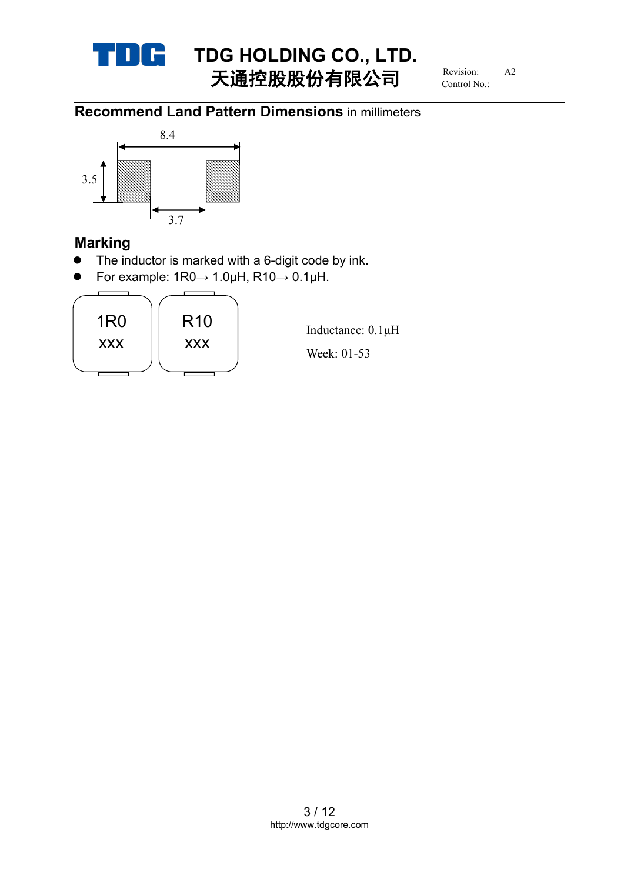

# **TDG HOLDING CO., LTD.**<br>
THEFT **HOLDING** 天通控股股份有限公司 TIME THE HOLDING CO. LTD

Revision: Control No.:

# **Recommend Land Pattern Dimensions** in millimeters i



# **Marking**

- The inductor is marked with a 6-digit code by ink.
- For example:  $1R0 \rightarrow 1.0\mu$ H,  $R10 \rightarrow 0.1\mu$ H.

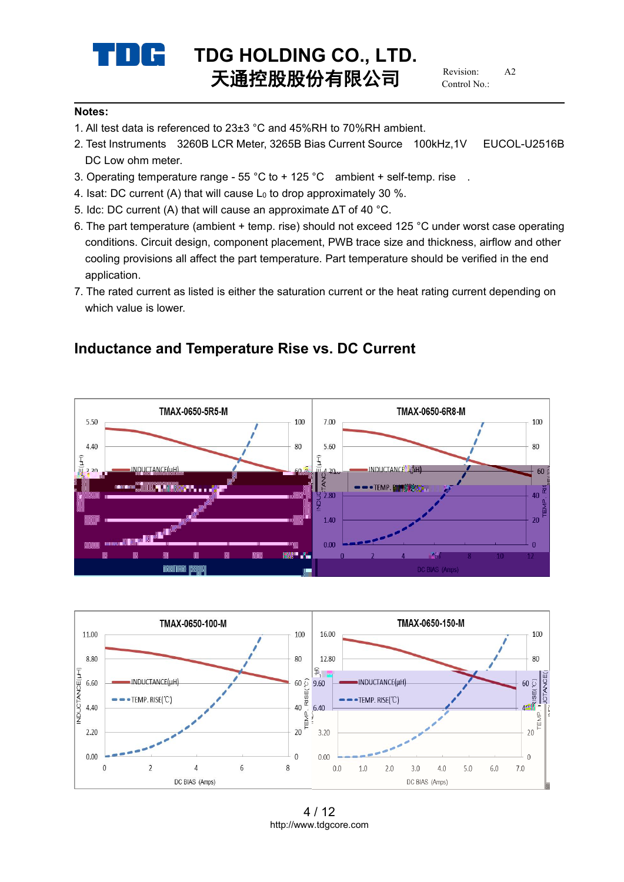

Revision: Control No.:

### **Notes:**

- 1. All test data is referenced to 23±3 °C and 45%RH to 70%RH ambient.
- 2. Test Instruments 3260B LCR Meter, 3265B Bias Current Source 100kHz,1V EUCOL-U2516B DC Low ohm meter.
- 3. Operating temperature range 55 °C to + 125 °C ambient + self-temp. rise .
- 4. Isat: DC current (A) that will cause  $L_0$  to drop approximately 30 %.
- 5. Idc: DC current (A) that will cause an approximate ΔT of 40 °C.
- 6. The part temperature (ambient + temp. rise) should not exceed 125 °C underworst case operating conditions. Circuit design, component placement, PWB trace size and thickness, airflow and other cooling provisions all affect the part temperature. Part temperature should be verified in the end application.
- 7. The rated current as listed is either the saturation current or the heat rating current depending on which value is lower.

# **Inductance and Temperature Rise vs. DC Current**





<sup>4</sup> / 12 http://www.tdgcore.com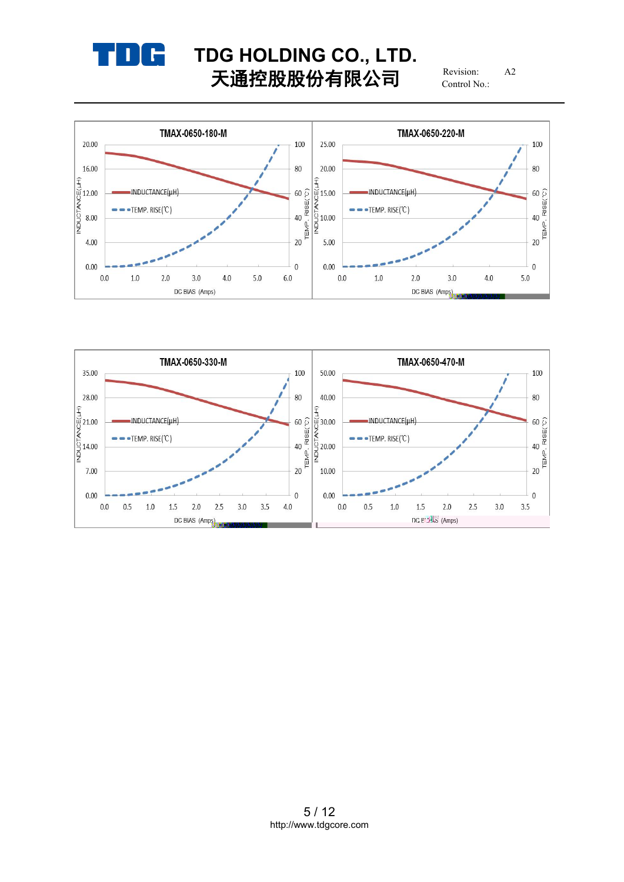

# **TDG HOLDING CO., LTD.**<br> **T T HOLDING CO., LTD.** Revision: A2 天通控股股份有限公司

Revision: Control No.:



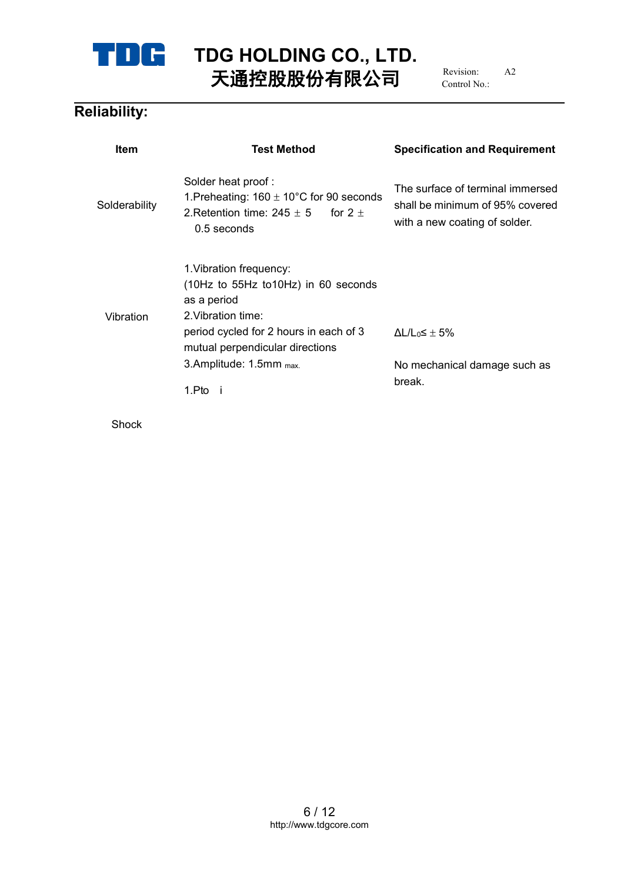

# **TDG HOLDING CO., LTD.** 天通控股股份有限公司  $^{\scriptscriptstyle\rm {Revision:}}$   $^{\scriptscriptstyle\rm {A2}}$ H5Hް€ **t**.捕h k2V倀.**e**a冄㈵ळb He**pn**eO**m**at**st**L**ed**H**h**gD**t**n**co皕鐍t** Et**ifi**L**c**O**a**LW**tAᔘ胐հ** \ **n** 瀁倀enriiaaU5

# **Reliability:**

| <b>The Common Section</b> |                                                                                                                                  |                                                                                                                                                                                                                  |  |  |  |  |  |
|---------------------------|----------------------------------------------------------------------------------------------------------------------------------|------------------------------------------------------------------------------------------------------------------------------------------------------------------------------------------------------------------|--|--|--|--|--|
| iability:                 | TDC TDG HOLDING CO., LTD.<br>天通控股股份有限公司 Revision: A2                                                                             |                                                                                                                                                                                                                  |  |  |  |  |  |
| Item                      | <b>Test Method</b><br>Solder heat proof:                                                                                         | <b>Specification and Requirement</b>                                                                                                                                                                             |  |  |  |  |  |
| Solderability             | 0.5 seconds                                                                                                                      | The surface of terminal immersed<br>1. Preheating: 160 $\pm$ 10°C for 90 seconds<br>ty 2. Retention time: 245 $\pm$ 5 for 2 $\pm$<br>2. Retention time: 245 $\pm$ 5 for 2 $\pm$<br>with a new coating of solder. |  |  |  |  |  |
|                           | 1. Vibration frequency:<br>(10Hz to 55Hz to10Hz) in 60 seconds<br>as a period<br>Vibration 2. Vibration time:                    |                                                                                                                                                                                                                  |  |  |  |  |  |
|                           | period cycled for 2 hours in each of 3 $\Delta L/L_0 \leq \pm 5\%$<br>mutual perpendicular directions<br>3.Amplitude: 1.5mm max. | No mechanical damage such as<br>break.                                                                                                                                                                           |  |  |  |  |  |
| Shock                     |                                                                                                                                  |                                                                                                                                                                                                                  |  |  |  |  |  |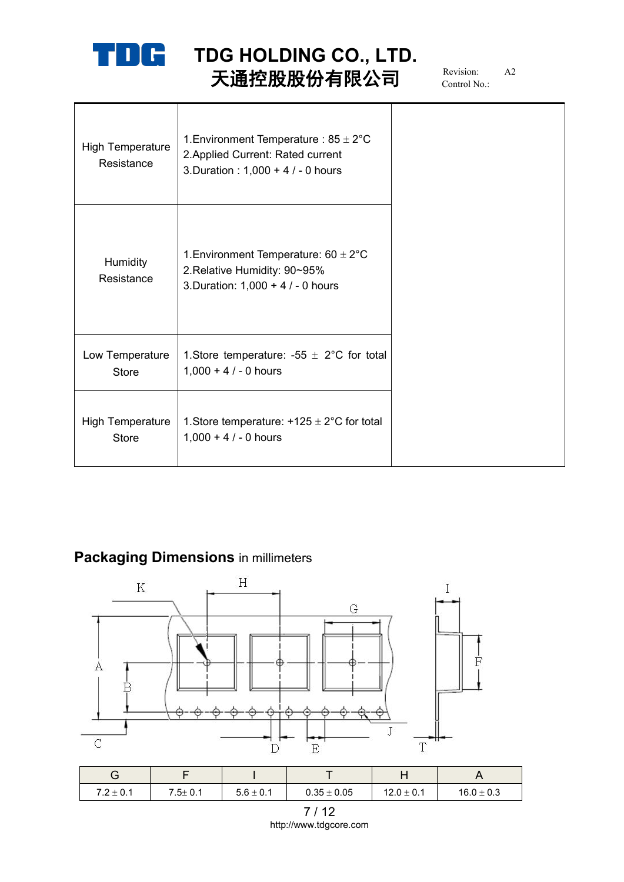

**TDG HOLDING CO., LTD.** 天通控股股份有限公司  $^{\scriptscriptstyle\rm {Revision:}}$   $^{\scriptscriptstyle\rm {A2}}$ 

Revision: A2 Control No.:

| High Temperature<br>Resistance   | 1. Environment Temperature : $85 \pm 2^{\circ}$ C<br>2. Applied Current: Rated current<br>3. Duration : $1,000 + 4 / - 0$ hours |  |
|----------------------------------|---------------------------------------------------------------------------------------------------------------------------------|--|
| <b>Humidity</b><br>Resistance    | 1. Environment Temperature: $60 \pm 2^{\circ}$ C<br>2. Relative Humidity: 90~95%<br>3. Duration: $1,000 + 4 / - 0$ hours        |  |
| Low Temperature<br><b>Store</b>  | 1. Store temperature: -55 $\pm$ 2°C for total<br>$1,000 + 4 / - 0$ hours                                                        |  |
| High Temperature<br><b>Store</b> | 1. Store temperature: $+125 \pm 2^{\circ}$ C for total<br>$1,000 + 4 / - 0$ hours                                               |  |

# **Packaging Dimensions** in millimeters



| ⌒<br>◡                |               |               |                 | . .            |                |
|-----------------------|---------------|---------------|-----------------|----------------|----------------|
| $7.2\pm0.1$<br>$72+1$ | $7.5 \pm 0.1$ | $5.6 \pm 0.1$ | $0.35 \pm 0.05$ | $12.0 \pm 0.1$ | $16.0 \pm 0.3$ |

7 / 12 http://www.tdgcore.com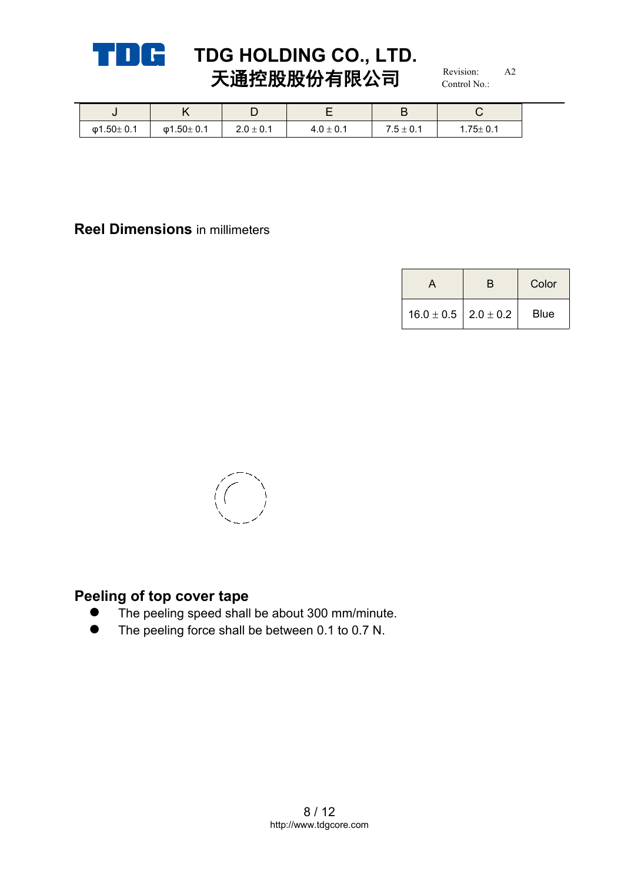

# **TDG HOLDING CO., LTD.**<br>
TELEVISION (V)  $\overline{I}$  **Example 10**  $\overline{I}$  **Revision:** A2 天通控股股份有限公司

Revision: Control No.:

|           | $\overline{ }$<br>. . |               |                                 | -                                                    |                |
|-----------|-----------------------|---------------|---------------------------------|------------------------------------------------------|----------------|
| φ1.50±0.1 | φ1.50 $±$ 0.1         | $2.0 \pm 0.1$ | $\sim$<br>$\sim$<br>4. U ⊡ U. I | $\sim$<br><b>__</b><br>. ب<br><b>U.I</b><br><u>_</u> | $1.75 \pm 0.1$ |

### **Reel Dimensions** in millimeters

|                                | Color       |
|--------------------------------|-------------|
| $16.0 \pm 0.5$   2.0 $\pm$ 0.2 | <b>Blue</b> |



# **Peeling of top cover tape**

- The peeling speed shall be about 300 mm/minute.
- The peeling force shall be between 0.1 to 0.7 N.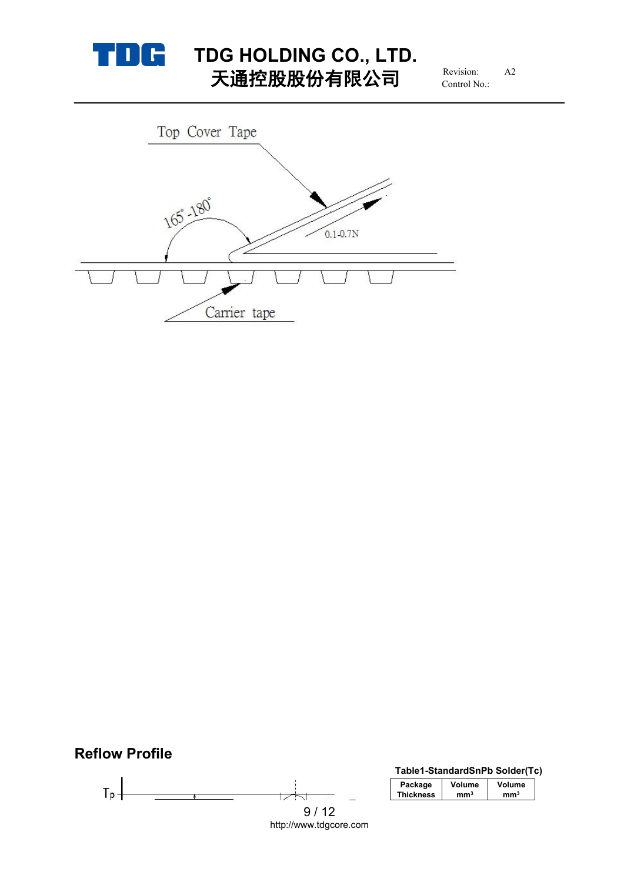

# **TDG HOLDING CO., LTD.**<br>
TERM **HD (A)**  $\leftarrow$  **FR** (A)  $\rightleftarrows$  Revision: A2 天通控股股份有限公司

Revision: Control No.:



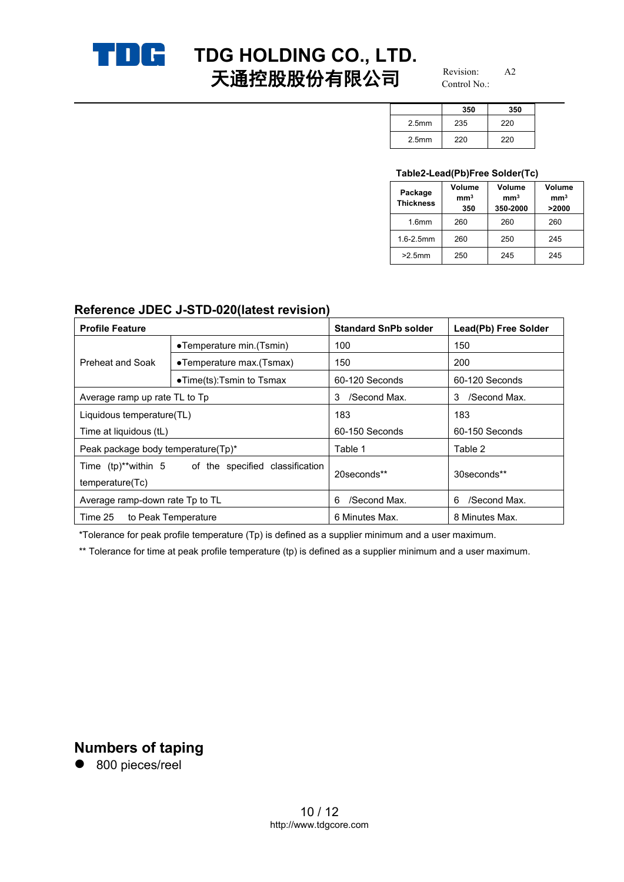

# **TDG HOLDING CO., LTD.**<br>
TXE **HOLDING CO., LTD.** 天通控股股份有限公司

Revision: Control No.:

|                   | 350 | 350 |
|-------------------|-----|-----|
| 2.5 <sub>mm</sub> | 235 | 220 |
| 2.5 <sub>mm</sub> | 220 | 220 |

### **Table2-Lead(Pb)Free Solder(Tc)**

| Package<br><b>Thickness</b> | <b>Volume</b><br>mm <sup>3</sup><br>350 | Volume<br>mm <sup>3</sup><br>350-2000 | Volume<br>mm <sup>3</sup><br>>2000 |
|-----------------------------|-----------------------------------------|---------------------------------------|------------------------------------|
| 1.6 <sub>mm</sub>           | 260                                     | 260                                   | 260                                |
| $1.6 - 2.5$ mm              | 260                                     | 250                                   | 245                                |
| $>2.5$ mm                   | 250                                     | 245                                   | 245                                |

### **Reference JDEC J-STD-020(latest revision)**

| <b>Profile Feature</b>             |                                                     | <b>Standard SnPb solder</b> | Lead(Pb) Free Solder |
|------------------------------------|-----------------------------------------------------|-----------------------------|----------------------|
|                                    | •Temperature min. (Tsmin)                           | 100                         | 150                  |
| Preheat and Soak                   | •Temperature max.(Tsmax)                            | 150                         | 200                  |
|                                    | $\bullet$ Time(ts):Tsmin to Tsmax                   | 60-120 Seconds              | 60-120 Seconds       |
| Average ramp up rate TL to Tp      |                                                     | /Second Max.<br>3           | /Second Max.<br>3    |
| Liquidous temperature(TL)          |                                                     | 183                         | 183                  |
| Time at liquidous (tL)             |                                                     | 60-150 Seconds              | 60-150 Seconds       |
| Peak package body temperature(Tp)* |                                                     | Table 1                     | Table 2              |
| temperature(Tc)                    | Time (tp)**within 5 of the specified classification | 20seconds**                 | 30seconds**          |
| Average ramp-down rate Tp to TL    |                                                     | /Second Max.<br>6           | /Second Max.<br>6    |
| Time 25                            | to Peak Temperature                                 | 6 Minutes Max.              | 8 Minutes Max.       |

\*Tolerance for peak profile temperature (Tp) is defined as a supplier minimum and a user maximum.

\*\* Tolerance for time at peak profile temperature (tp) is defined as a supplier minimum and a user maximum.

# **Numbers of taping**

● 800 pieces/reel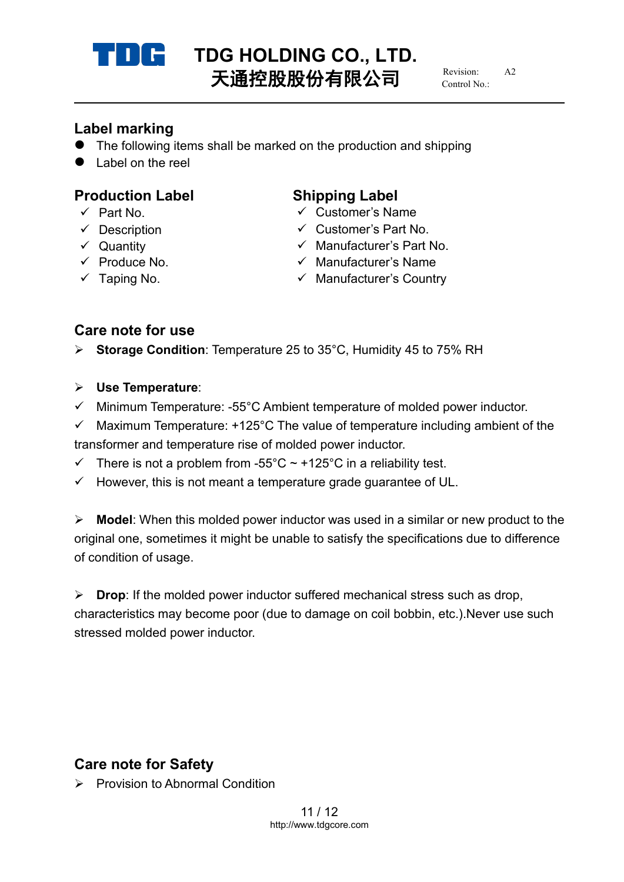

# **TDG HOLDING CO., LTD.**<br>
TX<del>LDING</del>

TXLDING 天通控股股份有限公司

 $R$ evision: Control No.:

# **Label marking**

- The following items shall be marked on the production and shipping
- $\bullet$  Label on the reel

# **Production Label Shipping Label**

- 
- 
- 
- 
- 

- Part No. Customer's Name
- $\checkmark$  Description  $\checkmark$  Customer's Part No.
- Quantity Manufacturer's Part No.
- $\checkmark$  Produce No.  $\checkmark$  Manufacturer's Name
- $\checkmark$  Taping No.  $\checkmark$  Manufacturer's Country

# **Care note for use**

**► Storage Condition: Temperature 25 to 35°C, Humidity 45 to 75% RH** 

### **Use Temperature**:

- $\checkmark$  Minimum Temperature: -55°C Ambient temperature of molded power inductor.
- $\checkmark$  Maximum Temperature: +125°C The value of temperature including ambient of the transformer and temperature rise of molded power inductor.
- There is not a problem from -55°C  $\sim$  +125°C in a reliability test.
- $\checkmark$  However, this is not meant a temperature grade guarantee of UL.

**Model:** When this molded power inductor was used in a similar or new product to the original one, sometimes it might be unable to satisfy the specifications due to difference of condition of usage.

 **Drop**: If the molded power inductor suffered mechanical stress such as drop, characteristics may become poor (due to damage on coil bobbin, etc.).Never use such stressed molded power inductor.

# **Care note for Safety**

 $\triangleright$  Provision to Abnormal Condition

11 / 12 http://www.tdgcore.com